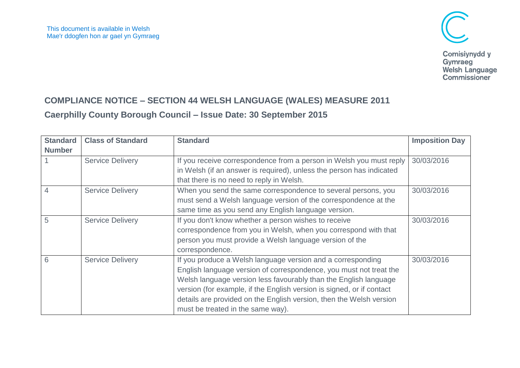

Welsh Language<br>Commissioner

## **COMPLIANCE NOTICE – SECTION 44 WELSH LANGUAGE (WALES) MEASURE 2011**

## **Caerphilly County Borough Council – Issue Date: 30 September 2015**

| <b>Standard</b> | <b>Class of Standard</b> | <b>Standard</b>                                                       | <b>Imposition Day</b> |
|-----------------|--------------------------|-----------------------------------------------------------------------|-----------------------|
| <b>Number</b>   |                          |                                                                       |                       |
|                 | <b>Service Delivery</b>  | If you receive correspondence from a person in Welsh you must reply   | 30/03/2016            |
|                 |                          | in Welsh (if an answer is required), unless the person has indicated  |                       |
|                 |                          | that there is no need to reply in Welsh.                              |                       |
| 4               | <b>Service Delivery</b>  | When you send the same correspondence to several persons, you         | 30/03/2016            |
|                 |                          | must send a Welsh language version of the correspondence at the       |                       |
|                 |                          | same time as you send any English language version.                   |                       |
| 5               | <b>Service Delivery</b>  | If you don't know whether a person wishes to receive                  | 30/03/2016            |
|                 |                          | correspondence from you in Welsh, when you correspond with that       |                       |
|                 |                          | person you must provide a Welsh language version of the               |                       |
|                 |                          | correspondence.                                                       |                       |
| 6               | <b>Service Delivery</b>  | If you produce a Welsh language version and a corresponding           | 30/03/2016            |
|                 |                          | English language version of correspondence, you must not treat the    |                       |
|                 |                          | Welsh language version less favourably than the English language      |                       |
|                 |                          | version (for example, if the English version is signed, or if contact |                       |
|                 |                          | details are provided on the English version, then the Welsh version   |                       |
|                 |                          | must be treated in the same way).                                     |                       |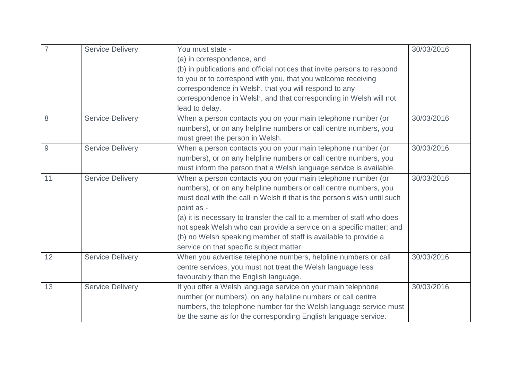|    | <b>Service Delivery</b> | You must state -                                                         | 30/03/2016 |
|----|-------------------------|--------------------------------------------------------------------------|------------|
|    |                         | (a) in correspondence, and                                               |            |
|    |                         | (b) in publications and official notices that invite persons to respond  |            |
|    |                         | to you or to correspond with you, that you welcome receiving             |            |
|    |                         | correspondence in Welsh, that you will respond to any                    |            |
|    |                         | correspondence in Welsh, and that corresponding in Welsh will not        |            |
|    |                         | lead to delay.                                                           |            |
| 8  | <b>Service Delivery</b> | When a person contacts you on your main telephone number (or             | 30/03/2016 |
|    |                         | numbers), or on any helpline numbers or call centre numbers, you         |            |
|    |                         | must greet the person in Welsh.                                          |            |
| 9  | <b>Service Delivery</b> | When a person contacts you on your main telephone number (or             | 30/03/2016 |
|    |                         | numbers), or on any helpline numbers or call centre numbers, you         |            |
|    |                         | must inform the person that a Welsh language service is available.       |            |
| 11 | <b>Service Delivery</b> | When a person contacts you on your main telephone number (or             | 30/03/2016 |
|    |                         | numbers), or on any helpline numbers or call centre numbers, you         |            |
|    |                         | must deal with the call in Welsh if that is the person's wish until such |            |
|    |                         | point as -                                                               |            |
|    |                         | (a) it is necessary to transfer the call to a member of staff who does   |            |
|    |                         | not speak Welsh who can provide a service on a specific matter; and      |            |
|    |                         | (b) no Welsh speaking member of staff is available to provide a          |            |
|    |                         | service on that specific subject matter.                                 |            |
| 12 | <b>Service Delivery</b> | When you advertise telephone numbers, helpline numbers or call           | 30/03/2016 |
|    |                         | centre services, you must not treat the Welsh language less              |            |
|    |                         | favourably than the English language.                                    |            |
| 13 | <b>Service Delivery</b> | If you offer a Welsh language service on your main telephone             | 30/03/2016 |
|    |                         | number (or numbers), on any helpline numbers or call centre              |            |
|    |                         | numbers, the telephone number for the Welsh language service must        |            |
|    |                         | be the same as for the corresponding English language service.           |            |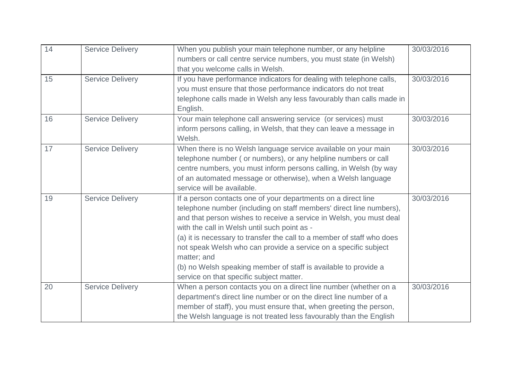| 14 | <b>Service Delivery</b> | When you publish your main telephone number, or any helpline           | 30/03/2016 |
|----|-------------------------|------------------------------------------------------------------------|------------|
|    |                         | numbers or call centre service numbers, you must state (in Welsh)      |            |
|    |                         | that you welcome calls in Welsh.                                       |            |
| 15 | <b>Service Delivery</b> | If you have performance indicators for dealing with telephone calls,   | 30/03/2016 |
|    |                         | you must ensure that those performance indicators do not treat         |            |
|    |                         | telephone calls made in Welsh any less favourably than calls made in   |            |
|    |                         | English.                                                               |            |
| 16 | <b>Service Delivery</b> | Your main telephone call answering service (or services) must          | 30/03/2016 |
|    |                         | inform persons calling, in Welsh, that they can leave a message in     |            |
|    |                         | Welsh.                                                                 |            |
| 17 | <b>Service Delivery</b> | When there is no Welsh language service available on your main         | 30/03/2016 |
|    |                         | telephone number (or numbers), or any helpline numbers or call         |            |
|    |                         | centre numbers, you must inform persons calling, in Welsh (by way      |            |
|    |                         | of an automated message or otherwise), when a Welsh language           |            |
|    |                         | service will be available.                                             |            |
| 19 | <b>Service Delivery</b> | If a person contacts one of your departments on a direct line          | 30/03/2016 |
|    |                         | telephone number (including on staff members' direct line numbers),    |            |
|    |                         | and that person wishes to receive a service in Welsh, you must deal    |            |
|    |                         | with the call in Welsh until such point as -                           |            |
|    |                         | (a) it is necessary to transfer the call to a member of staff who does |            |
|    |                         | not speak Welsh who can provide a service on a specific subject        |            |
|    |                         | matter; and                                                            |            |
|    |                         | (b) no Welsh speaking member of staff is available to provide a        |            |
|    |                         | service on that specific subject matter.                               |            |
| 20 | <b>Service Delivery</b> | When a person contacts you on a direct line number (whether on a       | 30/03/2016 |
|    |                         | department's direct line number or on the direct line number of a      |            |
|    |                         | member of staff), you must ensure that, when greeting the person,      |            |
|    |                         | the Welsh language is not treated less favourably than the English     |            |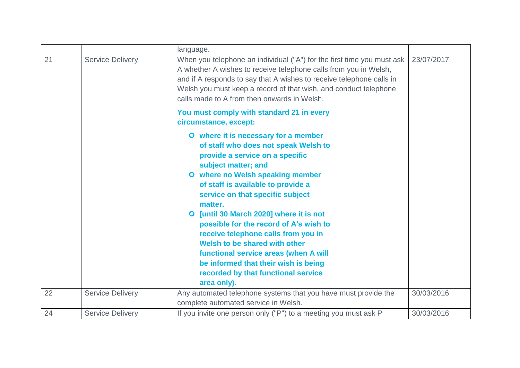|    |                         | language.                                                                                                                                                                                                                                                                                                                                                                                                                                                                                                                                                           |            |
|----|-------------------------|---------------------------------------------------------------------------------------------------------------------------------------------------------------------------------------------------------------------------------------------------------------------------------------------------------------------------------------------------------------------------------------------------------------------------------------------------------------------------------------------------------------------------------------------------------------------|------------|
| 21 | <b>Service Delivery</b> | When you telephone an individual ("A") for the first time you must ask<br>A whether A wishes to receive telephone calls from you in Welsh,<br>and if A responds to say that A wishes to receive telephone calls in<br>Welsh you must keep a record of that wish, and conduct telephone<br>calls made to A from then onwards in Welsh.                                                                                                                                                                                                                               | 23/07/2017 |
|    |                         | You must comply with standard 21 in every<br>circumstance, except:                                                                                                                                                                                                                                                                                                                                                                                                                                                                                                  |            |
|    |                         | O where it is necessary for a member<br>of staff who does not speak Welsh to<br>provide a service on a specific<br>subject matter; and<br>O where no Welsh speaking member<br>of staff is available to provide a<br>service on that specific subject<br>matter.<br>O [until 30 March 2020] where it is not<br>possible for the record of A's wish to<br>receive telephone calls from you in<br>Welsh to be shared with other<br>functional service areas (when A will<br>be informed that their wish is being<br>recorded by that functional service<br>area only). |            |
| 22 | <b>Service Delivery</b> | Any automated telephone systems that you have must provide the                                                                                                                                                                                                                                                                                                                                                                                                                                                                                                      | 30/03/2016 |
|    |                         | complete automated service in Welsh.                                                                                                                                                                                                                                                                                                                                                                                                                                                                                                                                |            |
| 24 | <b>Service Delivery</b> | If you invite one person only ("P") to a meeting you must ask P                                                                                                                                                                                                                                                                                                                                                                                                                                                                                                     | 30/03/2016 |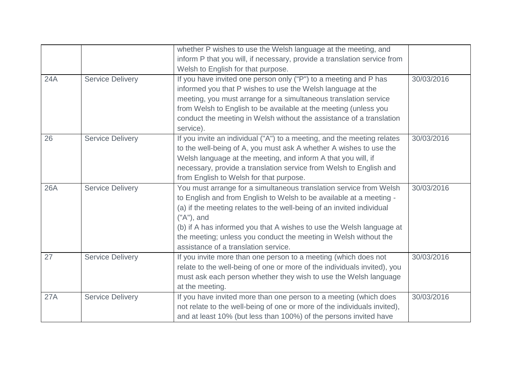|     |                         | whether P wishes to use the Welsh language at the meeting, and           |            |
|-----|-------------------------|--------------------------------------------------------------------------|------------|
|     |                         | inform P that you will, if necessary, provide a translation service from |            |
|     |                         | Welsh to English for that purpose.                                       |            |
| 24A | <b>Service Delivery</b> | If you have invited one person only ("P") to a meeting and P has         | 30/03/2016 |
|     |                         | informed you that P wishes to use the Welsh language at the              |            |
|     |                         | meeting, you must arrange for a simultaneous translation service         |            |
|     |                         | from Welsh to English to be available at the meeting (unless you         |            |
|     |                         | conduct the meeting in Welsh without the assistance of a translation     |            |
|     |                         | service).                                                                |            |
| 26  | <b>Service Delivery</b> | If you invite an individual ("A") to a meeting, and the meeting relates  | 30/03/2016 |
|     |                         | to the well-being of A, you must ask A whether A wishes to use the       |            |
|     |                         | Welsh language at the meeting, and inform A that you will, if            |            |
|     |                         | necessary, provide a translation service from Welsh to English and       |            |
|     |                         | from English to Welsh for that purpose.                                  |            |
| 26A | <b>Service Delivery</b> | You must arrange for a simultaneous translation service from Welsh       | 30/03/2016 |
|     |                         | to English and from English to Welsh to be available at a meeting -      |            |
|     |                         | (a) if the meeting relates to the well-being of an invited individual    |            |
|     |                         | $("A")$ , and                                                            |            |
|     |                         | (b) if A has informed you that A wishes to use the Welsh language at     |            |
|     |                         | the meeting; unless you conduct the meeting in Welsh without the         |            |
|     |                         | assistance of a translation service.                                     |            |
| 27  | <b>Service Delivery</b> | If you invite more than one person to a meeting (which does not          | 30/03/2016 |
|     |                         | relate to the well-being of one or more of the individuals invited), you |            |
|     |                         | must ask each person whether they wish to use the Welsh language         |            |
|     |                         | at the meeting.                                                          |            |
| 27A | <b>Service Delivery</b> | If you have invited more than one person to a meeting (which does        | 30/03/2016 |
|     |                         | not relate to the well-being of one or more of the individuals invited), |            |
|     |                         | and at least 10% (but less than 100%) of the persons invited have        |            |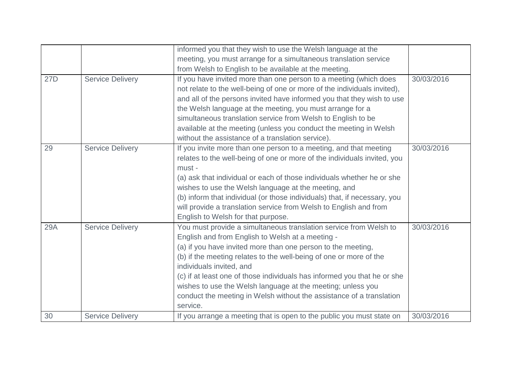|            |                         | informed you that they wish to use the Welsh language at the              |            |
|------------|-------------------------|---------------------------------------------------------------------------|------------|
|            |                         | meeting, you must arrange for a simultaneous translation service          |            |
|            |                         | from Welsh to English to be available at the meeting.                     |            |
| 27D        | <b>Service Delivery</b> | If you have invited more than one person to a meeting (which does         | 30/03/2016 |
|            |                         | not relate to the well-being of one or more of the individuals invited),  |            |
|            |                         | and all of the persons invited have informed you that they wish to use    |            |
|            |                         | the Welsh language at the meeting, you must arrange for a                 |            |
|            |                         | simultaneous translation service from Welsh to English to be              |            |
|            |                         | available at the meeting (unless you conduct the meeting in Welsh         |            |
|            |                         | without the assistance of a translation service).                         |            |
| 29         | <b>Service Delivery</b> | If you invite more than one person to a meeting, and that meeting         | 30/03/2016 |
|            |                         | relates to the well-being of one or more of the individuals invited, you  |            |
|            |                         | must -                                                                    |            |
|            |                         | (a) ask that individual or each of those individuals whether he or she    |            |
|            |                         | wishes to use the Welsh language at the meeting, and                      |            |
|            |                         | (b) inform that individual (or those individuals) that, if necessary, you |            |
|            |                         | will provide a translation service from Welsh to English and from         |            |
|            |                         | English to Welsh for that purpose.                                        |            |
| <b>29A</b> | <b>Service Delivery</b> | You must provide a simultaneous translation service from Welsh to         | 30/03/2016 |
|            |                         | English and from English to Welsh at a meeting -                          |            |
|            |                         | (a) if you have invited more than one person to the meeting,              |            |
|            |                         | (b) if the meeting relates to the well-being of one or more of the        |            |
|            |                         | individuals invited, and                                                  |            |
|            |                         | (c) if at least one of those individuals has informed you that he or she  |            |
|            |                         | wishes to use the Welsh language at the meeting; unless you               |            |
|            |                         | conduct the meeting in Welsh without the assistance of a translation      |            |
|            |                         | service.                                                                  |            |
| 30         | <b>Service Delivery</b> | If you arrange a meeting that is open to the public you must state on     | 30/03/2016 |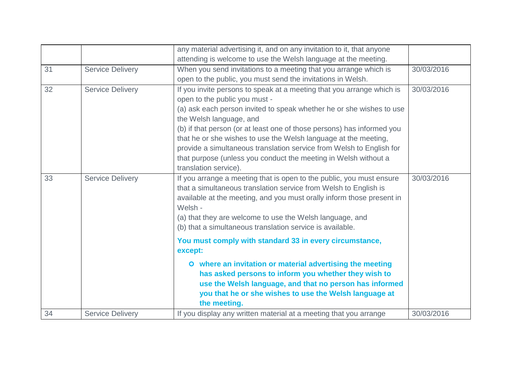|    |                         | any material advertising it, and on any invitation to it, that anyone                                                                                                                                                                                                                                                                                                                                                                                                                                                      |            |
|----|-------------------------|----------------------------------------------------------------------------------------------------------------------------------------------------------------------------------------------------------------------------------------------------------------------------------------------------------------------------------------------------------------------------------------------------------------------------------------------------------------------------------------------------------------------------|------------|
|    |                         | attending is welcome to use the Welsh language at the meeting.                                                                                                                                                                                                                                                                                                                                                                                                                                                             |            |
| 31 | <b>Service Delivery</b> | When you send invitations to a meeting that you arrange which is                                                                                                                                                                                                                                                                                                                                                                                                                                                           | 30/03/2016 |
|    |                         | open to the public, you must send the invitations in Welsh.                                                                                                                                                                                                                                                                                                                                                                                                                                                                |            |
| 32 | <b>Service Delivery</b> | If you invite persons to speak at a meeting that you arrange which is<br>open to the public you must -<br>(a) ask each person invited to speak whether he or she wishes to use<br>the Welsh language, and<br>(b) if that person (or at least one of those persons) has informed you<br>that he or she wishes to use the Welsh language at the meeting,<br>provide a simultaneous translation service from Welsh to English for<br>that purpose (unless you conduct the meeting in Welsh without a<br>translation service). | 30/03/2016 |
| 33 | <b>Service Delivery</b> | If you arrange a meeting that is open to the public, you must ensure<br>that a simultaneous translation service from Welsh to English is<br>available at the meeting, and you must orally inform those present in<br>Welsh -<br>(a) that they are welcome to use the Welsh language, and<br>(b) that a simultaneous translation service is available.<br>You must comply with standard 33 in every circumstance,<br>except:<br>O where an invitation or material advertising the meeting                                   | 30/03/2016 |
|    |                         | has asked persons to inform you whether they wish to<br>use the Welsh language, and that no person has informed<br>you that he or she wishes to use the Welsh language at<br>the meeting.                                                                                                                                                                                                                                                                                                                                  |            |
| 34 | <b>Service Delivery</b> | If you display any written material at a meeting that you arrange                                                                                                                                                                                                                                                                                                                                                                                                                                                          | 30/03/2016 |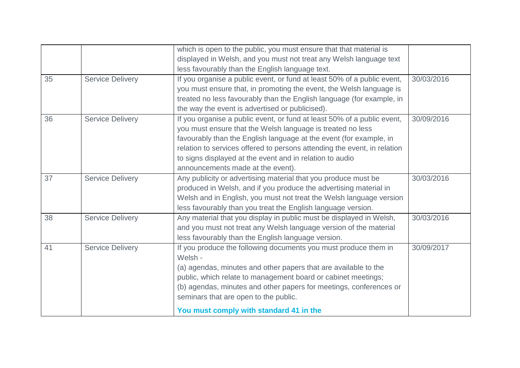|    |                         | which is open to the public, you must ensure that that material is       |            |
|----|-------------------------|--------------------------------------------------------------------------|------------|
|    |                         | displayed in Welsh, and you must not treat any Welsh language text       |            |
|    |                         | less favourably than the English language text.                          |            |
| 35 | <b>Service Delivery</b> | If you organise a public event, or fund at least 50% of a public event,  | 30/03/2016 |
|    |                         | you must ensure that, in promoting the event, the Welsh language is      |            |
|    |                         | treated no less favourably than the English language (for example, in    |            |
|    |                         | the way the event is advertised or publicised).                          |            |
| 36 | <b>Service Delivery</b> | If you organise a public event, or fund at least 50% of a public event,  | 30/09/2016 |
|    |                         | you must ensure that the Welsh language is treated no less               |            |
|    |                         | favourably than the English language at the event (for example, in       |            |
|    |                         | relation to services offered to persons attending the event, in relation |            |
|    |                         | to signs displayed at the event and in relation to audio                 |            |
|    |                         | announcements made at the event).                                        |            |
| 37 | <b>Service Delivery</b> | Any publicity or advertising material that you produce must be           | 30/03/2016 |
|    |                         | produced in Welsh, and if you produce the advertising material in        |            |
|    |                         | Welsh and in English, you must not treat the Welsh language version      |            |
|    |                         | less favourably than you treat the English language version.             |            |
| 38 | <b>Service Delivery</b> | Any material that you display in public must be displayed in Welsh,      | 30/03/2016 |
|    |                         | and you must not treat any Welsh language version of the material        |            |
|    |                         | less favourably than the English language version.                       |            |
| 41 | <b>Service Delivery</b> | If you produce the following documents you must produce them in          | 30/09/2017 |
|    |                         | Welsh -                                                                  |            |
|    |                         | (a) agendas, minutes and other papers that are available to the          |            |
|    |                         | public, which relate to management board or cabinet meetings;            |            |
|    |                         | (b) agendas, minutes and other papers for meetings, conferences or       |            |
|    |                         | seminars that are open to the public.                                    |            |
|    |                         | You must comply with standard 41 in the                                  |            |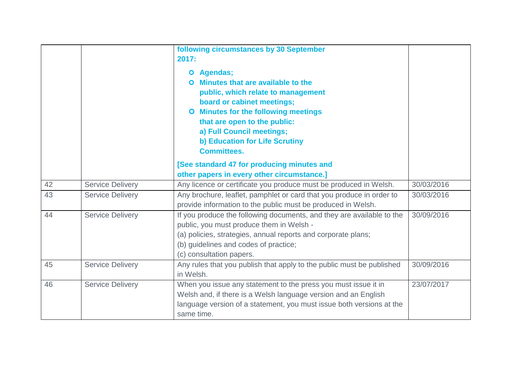|    |                         | following circumstances by 30 September<br>2017:<br>Agendas;<br>$\bullet$<br>Minutes that are available to the<br>O<br>public, which relate to management<br>board or cabinet meetings;<br><b>O</b> Minutes for the following meetings<br>that are open to the public:<br>a) Full Council meetings;<br>b) Education for Life Scrutiny<br><b>Committees.</b> |            |
|----|-------------------------|-------------------------------------------------------------------------------------------------------------------------------------------------------------------------------------------------------------------------------------------------------------------------------------------------------------------------------------------------------------|------------|
|    |                         | [See standard 47 for producing minutes and                                                                                                                                                                                                                                                                                                                  |            |
|    |                         | other papers in every other circumstance.]                                                                                                                                                                                                                                                                                                                  |            |
| 42 | <b>Service Delivery</b> | Any licence or certificate you produce must be produced in Welsh.                                                                                                                                                                                                                                                                                           | 30/03/2016 |
| 43 | <b>Service Delivery</b> | Any brochure, leaflet, pamphlet or card that you produce in order to<br>provide information to the public must be produced in Welsh.                                                                                                                                                                                                                        | 30/03/2016 |
| 44 | <b>Service Delivery</b> | If you produce the following documents, and they are available to the<br>public, you must produce them in Welsh -<br>(a) policies, strategies, annual reports and corporate plans;<br>(b) guidelines and codes of practice;<br>(c) consultation papers.                                                                                                     | 30/09/2016 |
| 45 | <b>Service Delivery</b> | Any rules that you publish that apply to the public must be published<br>in Welsh.                                                                                                                                                                                                                                                                          | 30/09/2016 |
| 46 | <b>Service Delivery</b> | When you issue any statement to the press you must issue it in<br>Welsh and, if there is a Welsh language version and an English<br>language version of a statement, you must issue both versions at the<br>same time.                                                                                                                                      | 23/07/2017 |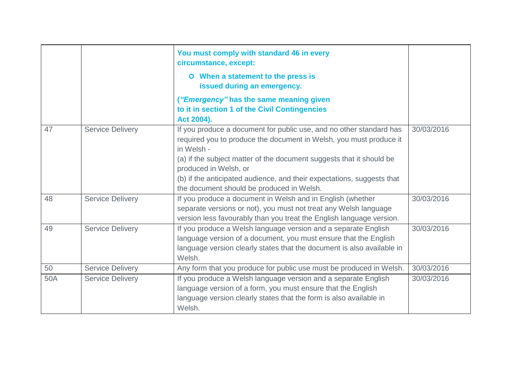|     |                         | You must comply with standard 46 in every<br>circumstance, except:                                                                                                                                                                                                                                                                                                              |            |
|-----|-------------------------|---------------------------------------------------------------------------------------------------------------------------------------------------------------------------------------------------------------------------------------------------------------------------------------------------------------------------------------------------------------------------------|------------|
|     |                         | O When a statement to the press is<br>issued during an emergency.                                                                                                                                                                                                                                                                                                               |            |
|     |                         | ("Emergency" has the same meaning given<br>to it in section 1 of the Civil Contingencies<br>Act 2004).                                                                                                                                                                                                                                                                          |            |
| 47  | <b>Service Delivery</b> | If you produce a document for public use, and no other standard has<br>required you to produce the document in Welsh, you must produce it<br>in Welsh -<br>(a) if the subject matter of the document suggests that it should be<br>produced in Welsh, or<br>(b) if the anticipated audience, and their expectations, suggests that<br>the document should be produced in Welsh. | 30/03/2016 |
| 48  | <b>Service Delivery</b> | If you produce a document in Welsh and in English (whether<br>separate versions or not), you must not treat any Welsh language<br>version less favourably than you treat the English language version.                                                                                                                                                                          | 30/03/2016 |
| 49  | <b>Service Delivery</b> | If you produce a Welsh language version and a separate English<br>language version of a document, you must ensure that the English<br>language version clearly states that the document is also available in<br>Welsh.                                                                                                                                                          | 30/03/2016 |
| 50  | <b>Service Delivery</b> | Any form that you produce for public use must be produced in Welsh.                                                                                                                                                                                                                                                                                                             | 30/03/2016 |
| 50A | <b>Service Delivery</b> | If you produce a Welsh language version and a separate English<br>language version of a form, you must ensure that the English<br>language version clearly states that the form is also available in<br>Welsh.                                                                                                                                                                  | 30/03/2016 |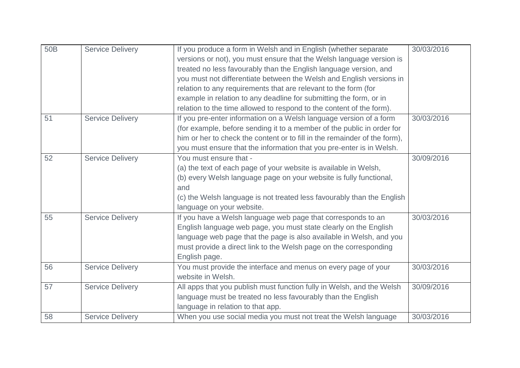| 50 <sub>B</sub> | <b>Service Delivery</b> | If you produce a form in Welsh and in English (whether separate           | 30/03/2016 |
|-----------------|-------------------------|---------------------------------------------------------------------------|------------|
|                 |                         | versions or not), you must ensure that the Welsh language version is      |            |
|                 |                         | treated no less favourably than the English language version, and         |            |
|                 |                         | you must not differentiate between the Welsh and English versions in      |            |
|                 |                         | relation to any requirements that are relevant to the form (for           |            |
|                 |                         | example in relation to any deadline for submitting the form, or in        |            |
|                 |                         | relation to the time allowed to respond to the content of the form).      |            |
| 51              | <b>Service Delivery</b> | If you pre-enter information on a Welsh language version of a form        | 30/03/2016 |
|                 |                         | (for example, before sending it to a member of the public in order for    |            |
|                 |                         | him or her to check the content or to fill in the remainder of the form), |            |
|                 |                         | you must ensure that the information that you pre-enter is in Welsh.      |            |
| 52              | <b>Service Delivery</b> | You must ensure that -                                                    | 30/09/2016 |
|                 |                         | (a) the text of each page of your website is available in Welsh,          |            |
|                 |                         | (b) every Welsh language page on your website is fully functional,        |            |
|                 |                         | and                                                                       |            |
|                 |                         | (c) the Welsh language is not treated less favourably than the English    |            |
|                 |                         | language on your website.                                                 |            |
| 55              | <b>Service Delivery</b> | If you have a Welsh language web page that corresponds to an              | 30/03/2016 |
|                 |                         | English language web page, you must state clearly on the English          |            |
|                 |                         | language web page that the page is also available in Welsh, and you       |            |
|                 |                         | must provide a direct link to the Welsh page on the corresponding         |            |
|                 |                         | English page.                                                             |            |
| 56              | <b>Service Delivery</b> | You must provide the interface and menus on every page of your            | 30/03/2016 |
|                 |                         | website in Welsh.                                                         |            |
| 57              | <b>Service Delivery</b> | All apps that you publish must function fully in Welsh, and the Welsh     | 30/09/2016 |
|                 |                         | language must be treated no less favourably than the English              |            |
|                 |                         | language in relation to that app.                                         |            |
| 58              | <b>Service Delivery</b> | When you use social media you must not treat the Welsh language           | 30/03/2016 |
|                 |                         |                                                                           |            |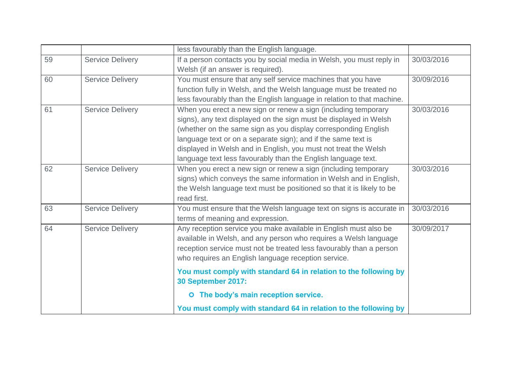|    |                         | less favourably than the English language.                             |            |
|----|-------------------------|------------------------------------------------------------------------|------------|
| 59 | <b>Service Delivery</b> | If a person contacts you by social media in Welsh, you must reply in   | 30/03/2016 |
|    |                         | Welsh (if an answer is required).                                      |            |
| 60 | <b>Service Delivery</b> | You must ensure that any self service machines that you have           | 30/09/2016 |
|    |                         | function fully in Welsh, and the Welsh language must be treated no     |            |
|    |                         | less favourably than the English language in relation to that machine. |            |
| 61 | <b>Service Delivery</b> | When you erect a new sign or renew a sign (including temporary         | 30/03/2016 |
|    |                         | signs), any text displayed on the sign must be displayed in Welsh      |            |
|    |                         | (whether on the same sign as you display corresponding English         |            |
|    |                         | language text or on a separate sign); and if the same text is          |            |
|    |                         | displayed in Welsh and in English, you must not treat the Welsh        |            |
|    |                         | language text less favourably than the English language text.          |            |
| 62 | <b>Service Delivery</b> | When you erect a new sign or renew a sign (including temporary         | 30/03/2016 |
|    |                         | signs) which conveys the same information in Welsh and in English,     |            |
|    |                         | the Welsh language text must be positioned so that it is likely to be  |            |
|    |                         | read first.                                                            |            |
| 63 | <b>Service Delivery</b> | You must ensure that the Welsh language text on signs is accurate in   | 30/03/2016 |
|    |                         | terms of meaning and expression.                                       |            |
| 64 | <b>Service Delivery</b> | Any reception service you make available in English must also be       | 30/09/2017 |
|    |                         | available in Welsh, and any person who requires a Welsh language       |            |
|    |                         | reception service must not be treated less favourably than a person    |            |
|    |                         | who requires an English language reception service.                    |            |
|    |                         | You must comply with standard 64 in relation to the following by       |            |
|    |                         | <b>30 September 2017:</b>                                              |            |
|    |                         | O The body's main reception service.                                   |            |
|    |                         | You must comply with standard 64 in relation to the following by       |            |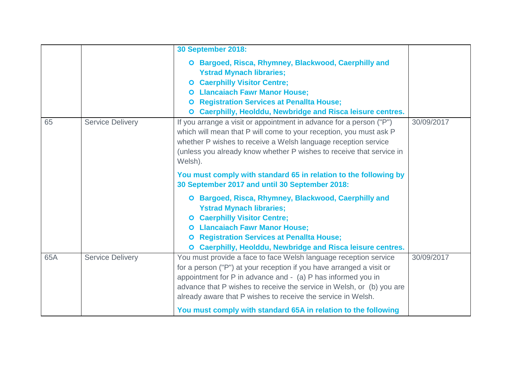|     |                         | <b>30 September 2018:</b>                                                                                                                                                                                                                                                                                                                                          |            |
|-----|-------------------------|--------------------------------------------------------------------------------------------------------------------------------------------------------------------------------------------------------------------------------------------------------------------------------------------------------------------------------------------------------------------|------------|
| 65  | <b>Service Delivery</b> | O Bargoed, Risca, Rhymney, Blackwood, Caerphilly and<br><b>Ystrad Mynach libraries;</b><br><b>O</b> Caerphilly Visitor Centre;<br><b>O</b> Llancaiach Fawr Manor House;<br><b>O</b> Registration Services at Penallta House;<br>O Caerphilly, Heolddu, Newbridge and Risca leisure centres.<br>If you arrange a visit or appointment in advance for a person ("P") | 30/09/2017 |
|     |                         | which will mean that P will come to your reception, you must ask P<br>whether P wishes to receive a Welsh language reception service<br>(unless you already know whether P wishes to receive that service in<br>Welsh).                                                                                                                                            |            |
|     |                         | You must comply with standard 65 in relation to the following by<br>30 September 2017 and until 30 September 2018:                                                                                                                                                                                                                                                 |            |
|     |                         | O Bargoed, Risca, Rhymney, Blackwood, Caerphilly and<br><b>Ystrad Mynach libraries;</b><br><b>O</b> Caerphilly Visitor Centre;<br><b>O</b> Llancaiach Fawr Manor House;<br><b>O</b> Registration Services at Penallta House;<br>O Caerphilly, Heolddu, Newbridge and Risca leisure centres.                                                                        |            |
| 65A | <b>Service Delivery</b> | You must provide a face to face Welsh language reception service<br>for a person ("P") at your reception if you have arranged a visit or<br>appointment for P in advance and - (a) P has informed you in<br>advance that P wishes to receive the service in Welsh, or (b) you are<br>already aware that P wishes to receive the service in Welsh.                  | 30/09/2017 |
|     |                         | You must comply with standard 65A in relation to the following                                                                                                                                                                                                                                                                                                     |            |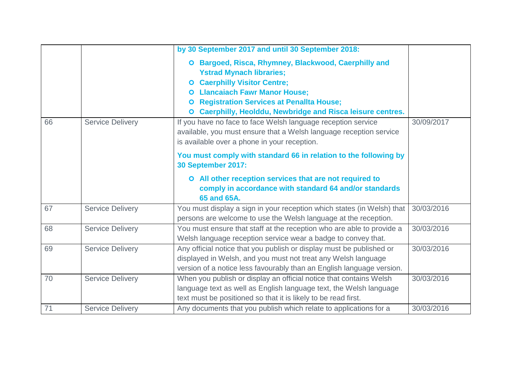|    |                         | by 30 September 2017 and until 30 September 2018:                                                                                                                                                                                                                                                                                                                                                                                                       |            |
|----|-------------------------|---------------------------------------------------------------------------------------------------------------------------------------------------------------------------------------------------------------------------------------------------------------------------------------------------------------------------------------------------------------------------------------------------------------------------------------------------------|------------|
| 66 | <b>Service Delivery</b> | O Bargoed, Risca, Rhymney, Blackwood, Caerphilly and<br><b>Ystrad Mynach libraries;</b><br><b>O</b> Caerphilly Visitor Centre;<br><b>O</b> Llancaiach Fawr Manor House;<br><b>Registration Services at Penallta House;</b><br>$\bullet$<br>Caerphilly, Heolddu, Newbridge and Risca leisure centres.<br>$\bullet$<br>If you have no face to face Welsh language reception service<br>available, you must ensure that a Welsh language reception service | 30/09/2017 |
|    |                         | is available over a phone in your reception.                                                                                                                                                                                                                                                                                                                                                                                                            |            |
|    |                         | You must comply with standard 66 in relation to the following by<br><b>30 September 2017:</b>                                                                                                                                                                                                                                                                                                                                                           |            |
|    |                         | O All other reception services that are not required to<br>comply in accordance with standard 64 and/or standards<br>65 and 65A.                                                                                                                                                                                                                                                                                                                        |            |
| 67 | <b>Service Delivery</b> | You must display a sign in your reception which states (in Welsh) that<br>persons are welcome to use the Welsh language at the reception.                                                                                                                                                                                                                                                                                                               | 30/03/2016 |
| 68 | <b>Service Delivery</b> | You must ensure that staff at the reception who are able to provide a<br>Welsh language reception service wear a badge to convey that.                                                                                                                                                                                                                                                                                                                  | 30/03/2016 |
| 69 | <b>Service Delivery</b> | Any official notice that you publish or display must be published or<br>displayed in Welsh, and you must not treat any Welsh language<br>version of a notice less favourably than an English language version.                                                                                                                                                                                                                                          | 30/03/2016 |
| 70 | <b>Service Delivery</b> | When you publish or display an official notice that contains Welsh<br>language text as well as English language text, the Welsh language<br>text must be positioned so that it is likely to be read first.                                                                                                                                                                                                                                              | 30/03/2016 |
| 71 | <b>Service Delivery</b> | Any documents that you publish which relate to applications for a                                                                                                                                                                                                                                                                                                                                                                                       | 30/03/2016 |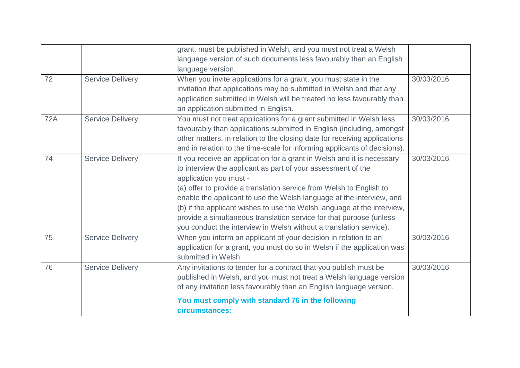|            |                         | grant, must be published in Welsh, and you must not treat a Welsh         |            |
|------------|-------------------------|---------------------------------------------------------------------------|------------|
|            |                         | language version of such documents less favourably than an English        |            |
|            |                         | language version.                                                         |            |
| 72         | <b>Service Delivery</b> | When you invite applications for a grant, you must state in the           | 30/03/2016 |
|            |                         | invitation that applications may be submitted in Welsh and that any       |            |
|            |                         | application submitted in Welsh will be treated no less favourably than    |            |
|            |                         | an application submitted in English.                                      |            |
| <b>72A</b> | <b>Service Delivery</b> | You must not treat applications for a grant submitted in Welsh less       | 30/03/2016 |
|            |                         | favourably than applications submitted in English (including, amongst     |            |
|            |                         | other matters, in relation to the closing date for receiving applications |            |
|            |                         | and in relation to the time-scale for informing applicants of decisions). |            |
| 74         | <b>Service Delivery</b> | If you receive an application for a grant in Welsh and it is necessary    | 30/03/2016 |
|            |                         | to interview the applicant as part of your assessment of the              |            |
|            |                         | application you must -                                                    |            |
|            |                         | (a) offer to provide a translation service from Welsh to English to       |            |
|            |                         | enable the applicant to use the Welsh language at the interview, and      |            |
|            |                         | (b) if the applicant wishes to use the Welsh language at the interview,   |            |
|            |                         | provide a simultaneous translation service for that purpose (unless       |            |
|            |                         | you conduct the interview in Welsh without a translation service).        |            |
| 75         | <b>Service Delivery</b> | When you inform an applicant of your decision in relation to an           | 30/03/2016 |
|            |                         | application for a grant, you must do so in Welsh if the application was   |            |
|            |                         | submitted in Welsh.                                                       |            |
| 76         | <b>Service Delivery</b> | Any invitations to tender for a contract that you publish must be         | 30/03/2016 |
|            |                         | published in Welsh, and you must not treat a Welsh language version       |            |
|            |                         | of any invitation less favourably than an English language version.       |            |
|            |                         | You must comply with standard 76 in the following                         |            |
|            |                         | circumstances:                                                            |            |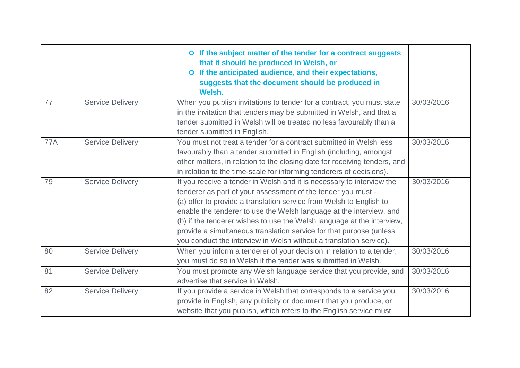|            |                         | O If the subject matter of the tender for a contract suggests<br>that it should be produced in Welsh, or<br>If the anticipated audience, and their expectations,<br>$\bullet$<br>suggests that the document should be produced in<br>Welsh.                                                                                                                                                                                                                                                                |            |
|------------|-------------------------|------------------------------------------------------------------------------------------------------------------------------------------------------------------------------------------------------------------------------------------------------------------------------------------------------------------------------------------------------------------------------------------------------------------------------------------------------------------------------------------------------------|------------|
| 77         | <b>Service Delivery</b> | When you publish invitations to tender for a contract, you must state<br>in the invitation that tenders may be submitted in Welsh, and that a<br>tender submitted in Welsh will be treated no less favourably than a<br>tender submitted in English.                                                                                                                                                                                                                                                       | 30/03/2016 |
| <b>77A</b> | <b>Service Delivery</b> | You must not treat a tender for a contract submitted in Welsh less<br>favourably than a tender submitted in English (including, amongst<br>other matters, in relation to the closing date for receiving tenders, and<br>in relation to the time-scale for informing tenderers of decisions).                                                                                                                                                                                                               | 30/03/2016 |
| 79         | <b>Service Delivery</b> | If you receive a tender in Welsh and it is necessary to interview the<br>tenderer as part of your assessment of the tender you must -<br>(a) offer to provide a translation service from Welsh to English to<br>enable the tenderer to use the Welsh language at the interview, and<br>(b) if the tenderer wishes to use the Welsh language at the interview,<br>provide a simultaneous translation service for that purpose (unless<br>you conduct the interview in Welsh without a translation service). | 30/03/2016 |
| 80         | <b>Service Delivery</b> | When you inform a tenderer of your decision in relation to a tender,<br>you must do so in Welsh if the tender was submitted in Welsh.                                                                                                                                                                                                                                                                                                                                                                      | 30/03/2016 |
| 81         | <b>Service Delivery</b> | You must promote any Welsh language service that you provide, and<br>advertise that service in Welsh.                                                                                                                                                                                                                                                                                                                                                                                                      | 30/03/2016 |
| 82         | <b>Service Delivery</b> | If you provide a service in Welsh that corresponds to a service you<br>provide in English, any publicity or document that you produce, or<br>website that you publish, which refers to the English service must                                                                                                                                                                                                                                                                                            | 30/03/2016 |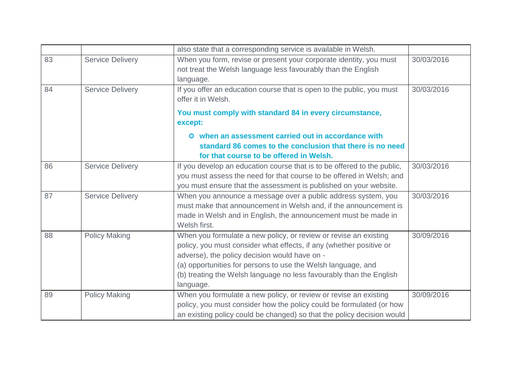|          |                                                    | also state that a corresponding service is available in Welsh.                                                                                                                                                                                                                                                                               |                          |
|----------|----------------------------------------------------|----------------------------------------------------------------------------------------------------------------------------------------------------------------------------------------------------------------------------------------------------------------------------------------------------------------------------------------------|--------------------------|
| 83<br>84 | <b>Service Delivery</b><br><b>Service Delivery</b> | When you form, revise or present your corporate identity, you must<br>not treat the Welsh language less favourably than the English<br>language.<br>If you offer an education course that is open to the public, you must                                                                                                                    | 30/03/2016<br>30/03/2016 |
|          |                                                    | offer it in Welsh.<br>You must comply with standard 84 in every circumstance,<br>except:                                                                                                                                                                                                                                                     |                          |
|          |                                                    | O when an assessment carried out in accordance with<br>standard 86 comes to the conclusion that there is no need<br>for that course to be offered in Welsh.                                                                                                                                                                                  |                          |
| 86       | <b>Service Delivery</b>                            | If you develop an education course that is to be offered to the public,<br>you must assess the need for that course to be offered in Welsh; and<br>you must ensure that the assessment is published on your website.                                                                                                                         | 30/03/2016               |
| 87       | <b>Service Delivery</b>                            | When you announce a message over a public address system, you<br>must make that announcement in Welsh and, if the announcement is<br>made in Welsh and in English, the announcement must be made in<br>Welsh first.                                                                                                                          | 30/03/2016               |
| 88       | <b>Policy Making</b>                               | When you formulate a new policy, or review or revise an existing<br>policy, you must consider what effects, if any (whether positive or<br>adverse), the policy decision would have on -<br>(a) opportunities for persons to use the Welsh language, and<br>(b) treating the Welsh language no less favourably than the English<br>language. | 30/09/2016               |
| 89       | <b>Policy Making</b>                               | When you formulate a new policy, or review or revise an existing<br>policy, you must consider how the policy could be formulated (or how<br>an existing policy could be changed) so that the policy decision would                                                                                                                           | 30/09/2016               |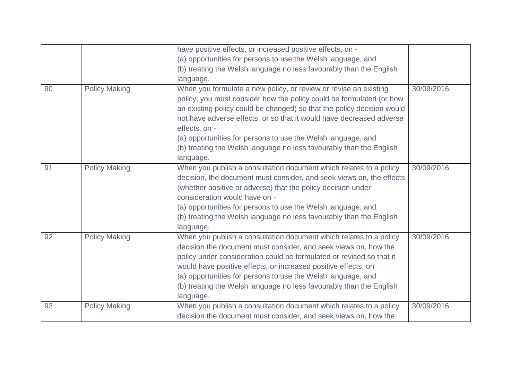|    |                      | have positive effects, or increased positive effects, on -             |            |
|----|----------------------|------------------------------------------------------------------------|------------|
|    |                      | (a) opportunities for persons to use the Welsh language, and           |            |
|    |                      | (b) treating the Welsh language no less favourably than the English    |            |
|    |                      | language.                                                              |            |
| 90 | <b>Policy Making</b> | When you formulate a new policy, or review or revise an existing       | 30/09/2016 |
|    |                      | policy, you must consider how the policy could be formulated (or how   |            |
|    |                      | an existing policy could be changed) so that the policy decision would |            |
|    |                      | not have adverse effects, or so that it would have decreased adverse   |            |
|    |                      | effects, on -                                                          |            |
|    |                      | (a) opportunities for persons to use the Welsh language, and           |            |
|    |                      | (b) treating the Welsh language no less favourably than the English    |            |
|    |                      | language.                                                              |            |
| 91 | <b>Policy Making</b> | When you publish a consultation document which relates to a policy     | 30/09/2016 |
|    |                      | decision, the document must consider, and seek views on, the effects   |            |
|    |                      | (whether positive or adverse) that the policy decision under           |            |
|    |                      | consideration would have on -                                          |            |
|    |                      | (a) opportunities for persons to use the Welsh language, and           |            |
|    |                      | (b) treating the Welsh language no less favourably than the English    |            |
|    |                      | language.                                                              |            |
| 92 | <b>Policy Making</b> | When you publish a consultation document which relates to a policy     | 30/09/2016 |
|    |                      | decision the document must consider, and seek views on, how the        |            |
|    |                      | policy under consideration could be formulated or revised so that it   |            |
|    |                      | would have positive effects, or increased positive effects, on         |            |
|    |                      | (a) opportunities for persons to use the Welsh language, and           |            |
|    |                      | (b) treating the Welsh language no less favourably than the English    |            |
|    |                      | language.                                                              |            |
| 93 | <b>Policy Making</b> | When you publish a consultation document which relates to a policy     | 30/09/2016 |
|    |                      | decision the document must consider, and seek views on, how the        |            |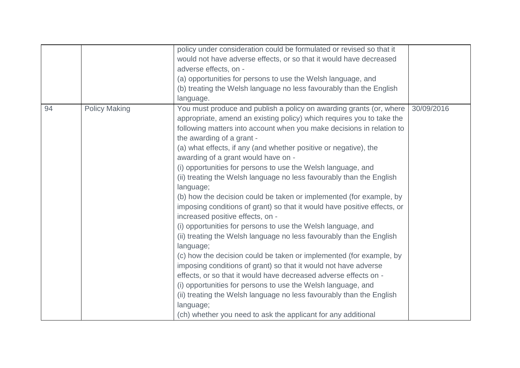|    |                      | policy under consideration could be formulated or revised so that it<br>would not have adverse effects, or so that it would have decreased<br>adverse effects, on -<br>(a) opportunities for persons to use the Welsh language, and<br>(b) treating the Welsh language no less favourably than the English<br>language.                                                                                                                                                                                                                                                                                                                                                                                                                                                                                                                                                                                                                                                                                                                                                                                                                                                                                                                                                                            |            |
|----|----------------------|----------------------------------------------------------------------------------------------------------------------------------------------------------------------------------------------------------------------------------------------------------------------------------------------------------------------------------------------------------------------------------------------------------------------------------------------------------------------------------------------------------------------------------------------------------------------------------------------------------------------------------------------------------------------------------------------------------------------------------------------------------------------------------------------------------------------------------------------------------------------------------------------------------------------------------------------------------------------------------------------------------------------------------------------------------------------------------------------------------------------------------------------------------------------------------------------------------------------------------------------------------------------------------------------------|------------|
| 94 | <b>Policy Making</b> | You must produce and publish a policy on awarding grants (or, where<br>appropriate, amend an existing policy) which requires you to take the<br>following matters into account when you make decisions in relation to<br>the awarding of a grant -<br>(a) what effects, if any (and whether positive or negative), the<br>awarding of a grant would have on -<br>(i) opportunities for persons to use the Welsh language, and<br>(ii) treating the Welsh language no less favourably than the English<br>language;<br>(b) how the decision could be taken or implemented (for example, by<br>imposing conditions of grant) so that it would have positive effects, or<br>increased positive effects, on -<br>(i) opportunities for persons to use the Welsh language, and<br>(ii) treating the Welsh language no less favourably than the English<br>language;<br>(c) how the decision could be taken or implemented (for example, by<br>imposing conditions of grant) so that it would not have adverse<br>effects, or so that it would have decreased adverse effects on -<br>(i) opportunities for persons to use the Welsh language, and<br>(ii) treating the Welsh language no less favourably than the English<br>language;<br>(ch) whether you need to ask the applicant for any additional | 30/09/2016 |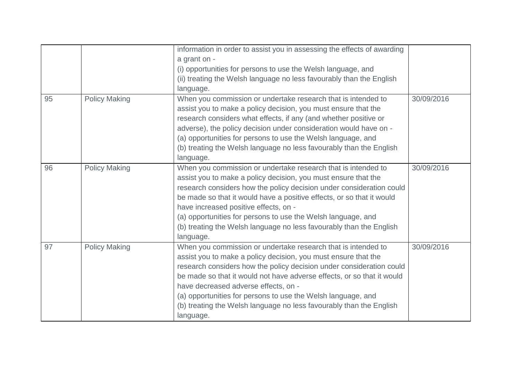|    |                      | information in order to assist you in assessing the effects of awarding<br>a grant on -<br>(i) opportunities for persons to use the Welsh language, and<br>(ii) treating the Welsh language no less favourably than the English<br>language.                                                                                                                                                                                                                                  |            |
|----|----------------------|-------------------------------------------------------------------------------------------------------------------------------------------------------------------------------------------------------------------------------------------------------------------------------------------------------------------------------------------------------------------------------------------------------------------------------------------------------------------------------|------------|
| 95 | <b>Policy Making</b> | When you commission or undertake research that is intended to<br>assist you to make a policy decision, you must ensure that the<br>research considers what effects, if any (and whether positive or<br>adverse), the policy decision under consideration would have on -<br>(a) opportunities for persons to use the Welsh language, and<br>(b) treating the Welsh language no less favourably than the English<br>language.                                                  | 30/09/2016 |
| 96 | <b>Policy Making</b> | When you commission or undertake research that is intended to<br>assist you to make a policy decision, you must ensure that the<br>research considers how the policy decision under consideration could<br>be made so that it would have a positive effects, or so that it would<br>have increased positive effects, on -<br>(a) opportunities for persons to use the Welsh language, and<br>(b) treating the Welsh language no less favourably than the English<br>language. | 30/09/2016 |
| 97 | <b>Policy Making</b> | When you commission or undertake research that is intended to<br>assist you to make a policy decision, you must ensure that the<br>research considers how the policy decision under consideration could<br>be made so that it would not have adverse effects, or so that it would<br>have decreased adverse effects, on -<br>(a) opportunities for persons to use the Welsh language, and<br>(b) treating the Welsh language no less favourably than the English<br>language. | 30/09/2016 |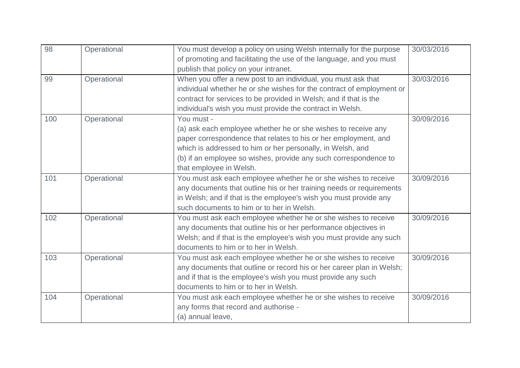| 98  | Operational | You must develop a policy on using Welsh internally for the purpose   | 30/03/2016 |
|-----|-------------|-----------------------------------------------------------------------|------------|
|     |             | of promoting and facilitating the use of the language, and you must   |            |
|     |             | publish that policy on your intranet.                                 |            |
| 99  | Operational | When you offer a new post to an individual, you must ask that         | 30/03/2016 |
|     |             | individual whether he or she wishes for the contract of employment or |            |
|     |             | contract for services to be provided in Welsh; and if that is the     |            |
|     |             | individual's wish you must provide the contract in Welsh.             |            |
| 100 | Operational | You must -                                                            | 30/09/2016 |
|     |             | (a) ask each employee whether he or she wishes to receive any         |            |
|     |             | paper correspondence that relates to his or her employment, and       |            |
|     |             | which is addressed to him or her personally, in Welsh, and            |            |
|     |             | (b) if an employee so wishes, provide any such correspondence to      |            |
|     |             | that employee in Welsh.                                               |            |
| 101 | Operational | You must ask each employee whether he or she wishes to receive        | 30/09/2016 |
|     |             | any documents that outline his or her training needs or requirements  |            |
|     |             | in Welsh; and if that is the employee's wish you must provide any     |            |
|     |             | such documents to him or to her in Welsh.                             |            |
| 102 | Operational | You must ask each employee whether he or she wishes to receive        | 30/09/2016 |
|     |             | any documents that outline his or her performance objectives in       |            |
|     |             | Welsh; and if that is the employee's wish you must provide any such   |            |
|     |             | documents to him or to her in Welsh.                                  |            |
| 103 | Operational | You must ask each employee whether he or she wishes to receive        | 30/09/2016 |
|     |             | any documents that outline or record his or her career plan in Welsh; |            |
|     |             | and if that is the employee's wish you must provide any such          |            |
|     |             | documents to him or to her in Welsh.                                  |            |
| 104 | Operational | You must ask each employee whether he or she wishes to receive        | 30/09/2016 |
|     |             | any forms that record and authorise -                                 |            |
|     |             | (a) annual leave,                                                     |            |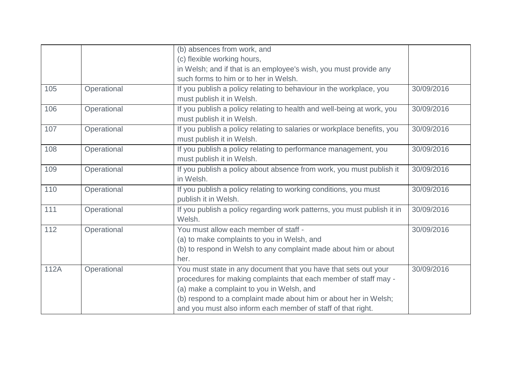|      |             | (b) absences from work, and                                             |            |
|------|-------------|-------------------------------------------------------------------------|------------|
|      |             | (c) flexible working hours,                                             |            |
|      |             | in Welsh; and if that is an employee's wish, you must provide any       |            |
|      |             | such forms to him or to her in Welsh.                                   |            |
| 105  | Operational | If you publish a policy relating to behaviour in the workplace, you     | 30/09/2016 |
|      |             | must publish it in Welsh.                                               |            |
| 106  | Operational | If you publish a policy relating to health and well-being at work, you  | 30/09/2016 |
|      |             | must publish it in Welsh.                                               |            |
| 107  | Operational | If you publish a policy relating to salaries or workplace benefits, you | 30/09/2016 |
|      |             | must publish it in Welsh.                                               |            |
| 108  | Operational | If you publish a policy relating to performance management, you         | 30/09/2016 |
|      |             | must publish it in Welsh.                                               |            |
| 109  | Operational | If you publish a policy about absence from work, you must publish it    | 30/09/2016 |
|      |             | in Welsh.                                                               |            |
| 110  | Operational | If you publish a policy relating to working conditions, you must        | 30/09/2016 |
|      |             | publish it in Welsh.                                                    |            |
| 111  | Operational | If you publish a policy regarding work patterns, you must publish it in | 30/09/2016 |
|      |             | Welsh.                                                                  |            |
| 112  | Operational | You must allow each member of staff -                                   | 30/09/2016 |
|      |             | (a) to make complaints to you in Welsh, and                             |            |
|      |             | (b) to respond in Welsh to any complaint made about him or about        |            |
|      |             | her.                                                                    |            |
| 112A | Operational | You must state in any document that you have that sets out your         | 30/09/2016 |
|      |             | procedures for making complaints that each member of staff may -        |            |
|      |             | (a) make a complaint to you in Welsh, and                               |            |
|      |             | (b) respond to a complaint made about him or about her in Welsh;        |            |
|      |             | and you must also inform each member of staff of that right.            |            |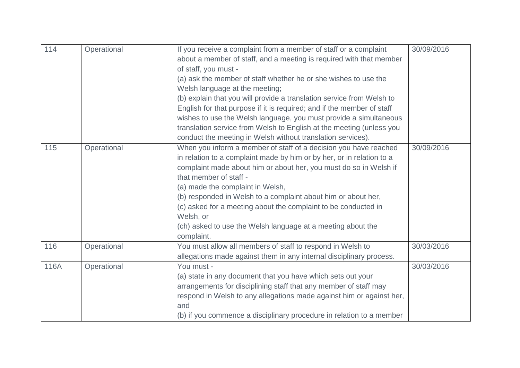| 114  | Operational | If you receive a complaint from a member of staff or a complaint       | 30/09/2016 |
|------|-------------|------------------------------------------------------------------------|------------|
|      |             | about a member of staff, and a meeting is required with that member    |            |
|      |             | of staff, you must -                                                   |            |
|      |             | (a) ask the member of staff whether he or she wishes to use the        |            |
|      |             | Welsh language at the meeting;                                         |            |
|      |             | (b) explain that you will provide a translation service from Welsh to  |            |
|      |             | English for that purpose if it is required; and if the member of staff |            |
|      |             | wishes to use the Welsh language, you must provide a simultaneous      |            |
|      |             | translation service from Welsh to English at the meeting (unless you   |            |
|      |             | conduct the meeting in Welsh without translation services).            |            |
| 115  | Operational | When you inform a member of staff of a decision you have reached       | 30/09/2016 |
|      |             | in relation to a complaint made by him or by her, or in relation to a  |            |
|      |             | complaint made about him or about her, you must do so in Welsh if      |            |
|      |             | that member of staff -                                                 |            |
|      |             | (a) made the complaint in Welsh,                                       |            |
|      |             | (b) responded in Welsh to a complaint about him or about her,          |            |
|      |             | (c) asked for a meeting about the complaint to be conducted in         |            |
|      |             | Welsh, or                                                              |            |
|      |             | (ch) asked to use the Welsh language at a meeting about the            |            |
|      |             | complaint.                                                             |            |
| 116  | Operational | You must allow all members of staff to respond in Welsh to             | 30/03/2016 |
|      |             | allegations made against them in any internal disciplinary process.    |            |
| 116A | Operational | You must -                                                             | 30/03/2016 |
|      |             | (a) state in any document that you have which sets out your            |            |
|      |             | arrangements for disciplining staff that any member of staff may       |            |
|      |             | respond in Welsh to any allegations made against him or against her,   |            |
|      |             | and                                                                    |            |
|      |             | (b) if you commence a disciplinary procedure in relation to a member   |            |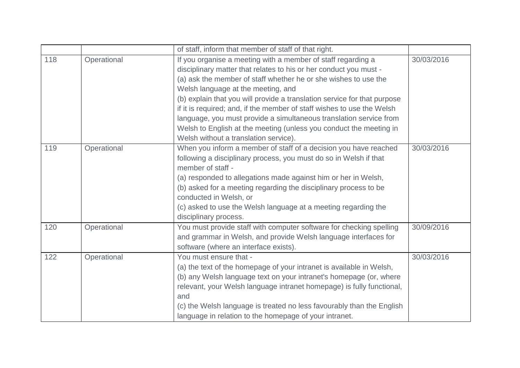|     |             | of staff, inform that member of staff of that right.                     |            |
|-----|-------------|--------------------------------------------------------------------------|------------|
| 118 | Operational | If you organise a meeting with a member of staff regarding a             | 30/03/2016 |
|     |             | disciplinary matter that relates to his or her conduct you must -        |            |
|     |             | (a) ask the member of staff whether he or she wishes to use the          |            |
|     |             | Welsh language at the meeting, and                                       |            |
|     |             | (b) explain that you will provide a translation service for that purpose |            |
|     |             | if it is required; and, if the member of staff wishes to use the Welsh   |            |
|     |             | language, you must provide a simultaneous translation service from       |            |
|     |             | Welsh to English at the meeting (unless you conduct the meeting in       |            |
|     |             | Welsh without a translation service).                                    |            |
| 119 | Operational | When you inform a member of staff of a decision you have reached         | 30/03/2016 |
|     |             | following a disciplinary process, you must do so in Welsh if that        |            |
|     |             | member of staff -                                                        |            |
|     |             | (a) responded to allegations made against him or her in Welsh,           |            |
|     |             | (b) asked for a meeting regarding the disciplinary process to be         |            |
|     |             | conducted in Welsh, or                                                   |            |
|     |             | (c) asked to use the Welsh language at a meeting regarding the           |            |
|     |             | disciplinary process.                                                    |            |
| 120 | Operational | You must provide staff with computer software for checking spelling      | 30/09/2016 |
|     |             | and grammar in Welsh, and provide Welsh language interfaces for          |            |
|     |             | software (where an interface exists).                                    |            |
| 122 | Operational | You must ensure that -                                                   | 30/03/2016 |
|     |             | (a) the text of the homepage of your intranet is available in Welsh,     |            |
|     |             | (b) any Welsh language text on your intranet's homepage (or, where       |            |
|     |             | relevant, your Welsh language intranet homepage) is fully functional,    |            |
|     |             | and                                                                      |            |
|     |             | (c) the Welsh language is treated no less favourably than the English    |            |
|     |             | language in relation to the homepage of your intranet.                   |            |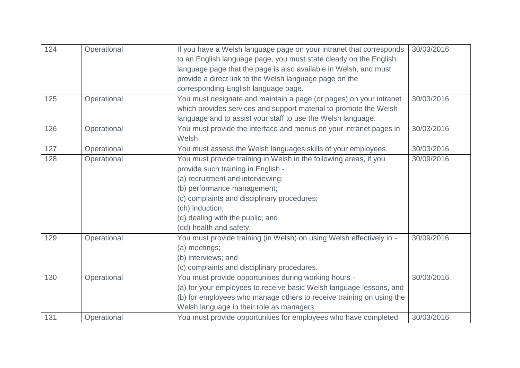| 124 | Operational | If you have a Welsh language page on your intranet that corresponds<br>to an English language page, you must state clearly on the English | 30/03/2016 |
|-----|-------------|-------------------------------------------------------------------------------------------------------------------------------------------|------------|
|     |             | language page that the page is also available in Welsh, and must                                                                          |            |
|     |             | provide a direct link to the Welsh language page on the                                                                                   |            |
|     |             | corresponding English language page.                                                                                                      |            |
| 125 | Operational | You must designate and maintain a page (or pages) on your intranet                                                                        | 30/03/2016 |
|     |             | which provides services and support material to promote the Welsh                                                                         |            |
|     |             | language and to assist your staff to use the Welsh language.                                                                              |            |
| 126 | Operational | You must provide the interface and menus on your intranet pages in                                                                        | 30/03/2016 |
|     |             | Welsh.                                                                                                                                    |            |
| 127 | Operational | You must assess the Welsh languages skills of your employees.                                                                             | 30/03/2016 |
| 128 | Operational | You must provide training in Welsh in the following areas, if you                                                                         | 30/09/2016 |
|     |             | provide such training in English -                                                                                                        |            |
|     |             | (a) recruitment and interviewing;                                                                                                         |            |
|     |             | (b) performance management;                                                                                                               |            |
|     |             | (c) complaints and disciplinary procedures;                                                                                               |            |
|     |             | (ch) induction;                                                                                                                           |            |
|     |             | (d) dealing with the public; and                                                                                                          |            |
|     |             | (dd) health and safety.                                                                                                                   |            |
| 129 | Operational | You must provide training (in Welsh) on using Welsh effectively in -                                                                      | 30/09/2016 |
|     |             | (a) meetings;                                                                                                                             |            |
|     |             | (b) interviews; and                                                                                                                       |            |
|     |             | (c) complaints and disciplinary procedures.                                                                                               |            |
| 130 | Operational | You must provide opportunities during working hours -                                                                                     | 30/03/2016 |
|     |             | (a) for your employees to receive basic Welsh language lessons, and                                                                       |            |
|     |             | (b) for employees who manage others to receive training on using the                                                                      |            |
|     |             | Welsh language in their role as managers.                                                                                                 |            |
| 131 | Operational | You must provide opportunities for employees who have completed                                                                           | 30/03/2016 |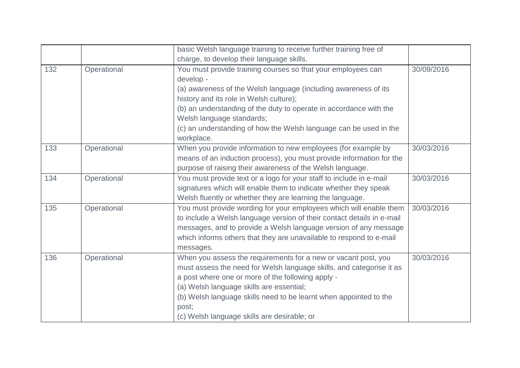|     |             | basic Welsh language training to receive further training free of      |            |
|-----|-------------|------------------------------------------------------------------------|------------|
|     |             | charge, to develop their language skills.                              |            |
| 132 | Operational | You must provide training courses so that your employees can           | 30/09/2016 |
|     |             | develop -                                                              |            |
|     |             | (a) awareness of the Welsh language (including awareness of its        |            |
|     |             | history and its role in Welsh culture);                                |            |
|     |             | (b) an understanding of the duty to operate in accordance with the     |            |
|     |             | Welsh language standards;                                              |            |
|     |             | (c) an understanding of how the Welsh language can be used in the      |            |
|     |             | workplace.                                                             |            |
| 133 | Operational | When you provide information to new employees (for example by          | 30/03/2016 |
|     |             | means of an induction process), you must provide information for the   |            |
|     |             | purpose of raising their awareness of the Welsh language.              |            |
| 134 | Operational | You must provide text or a logo for your staff to include in e-mail    | 30/03/2016 |
|     |             | signatures which will enable them to indicate whether they speak       |            |
|     |             | Welsh fluently or whether they are learning the language.              |            |
| 135 | Operational | You must provide wording for your employees which will enable them     | 30/03/2016 |
|     |             | to include a Welsh language version of their contact details in e-mail |            |
|     |             | messages, and to provide a Welsh language version of any message       |            |
|     |             | which informs others that they are unavailable to respond to e-mail    |            |
|     |             | messages.                                                              |            |
| 136 | Operational | When you assess the requirements for a new or vacant post, you         | 30/03/2016 |
|     |             | must assess the need for Welsh language skills, and categorise it as   |            |
|     |             | a post where one or more of the following apply -                      |            |
|     |             | (a) Welsh language skills are essential;                               |            |
|     |             | (b) Welsh language skills need to be learnt when appointed to the      |            |
|     |             | post;                                                                  |            |
|     |             | (c) Welsh language skills are desirable; or                            |            |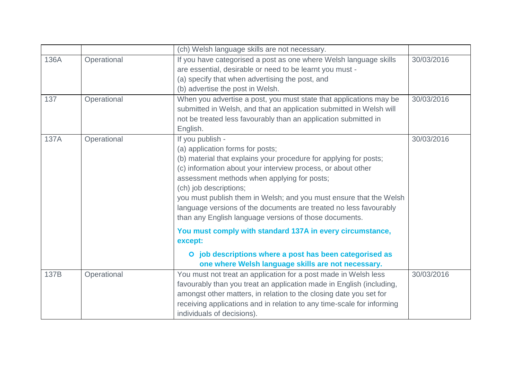|      |             | (ch) Welsh language skills are not necessary.                                                                                                                                                                                                                                                                                                                                                                                                                           |            |
|------|-------------|-------------------------------------------------------------------------------------------------------------------------------------------------------------------------------------------------------------------------------------------------------------------------------------------------------------------------------------------------------------------------------------------------------------------------------------------------------------------------|------------|
| 136A | Operational | If you have categorised a post as one where Welsh language skills<br>are essential, desirable or need to be learnt you must -<br>(a) specify that when advertising the post, and<br>(b) advertise the post in Welsh.                                                                                                                                                                                                                                                    | 30/03/2016 |
| 137  | Operational | When you advertise a post, you must state that applications may be<br>submitted in Welsh, and that an application submitted in Welsh will<br>not be treated less favourably than an application submitted in<br>English.                                                                                                                                                                                                                                                | 30/03/2016 |
| 137A | Operational | If you publish -<br>(a) application forms for posts;<br>(b) material that explains your procedure for applying for posts;<br>(c) information about your interview process, or about other<br>assessment methods when applying for posts;<br>(ch) job descriptions;<br>you must publish them in Welsh; and you must ensure that the Welsh<br>language versions of the documents are treated no less favourably<br>than any English language versions of those documents. | 30/03/2016 |
|      |             | You must comply with standard 137A in every circumstance,<br>except:<br>O job descriptions where a post has been categorised as                                                                                                                                                                                                                                                                                                                                         |            |
|      |             | one where Welsh language skills are not necessary.                                                                                                                                                                                                                                                                                                                                                                                                                      |            |
| 137B | Operational | You must not treat an application for a post made in Welsh less<br>favourably than you treat an application made in English (including,<br>amongst other matters, in relation to the closing date you set for<br>receiving applications and in relation to any time-scale for informing<br>individuals of decisions).                                                                                                                                                   | 30/03/2016 |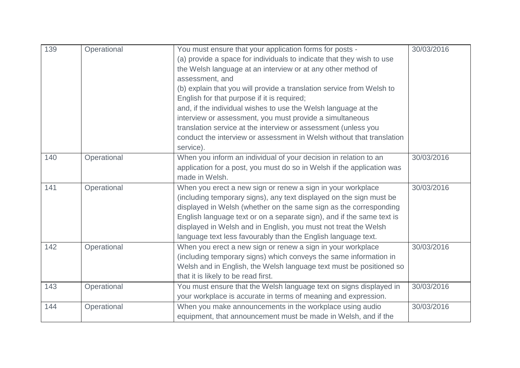| 139 | Operational | You must ensure that your application forms for posts -                | 30/03/2016 |
|-----|-------------|------------------------------------------------------------------------|------------|
|     |             | (a) provide a space for individuals to indicate that they wish to use  |            |
|     |             | the Welsh language at an interview or at any other method of           |            |
|     |             | assessment, and                                                        |            |
|     |             | (b) explain that you will provide a translation service from Welsh to  |            |
|     |             | English for that purpose if it is required;                            |            |
|     |             | and, if the individual wishes to use the Welsh language at the         |            |
|     |             | interview or assessment, you must provide a simultaneous               |            |
|     |             | translation service at the interview or assessment (unless you         |            |
|     |             | conduct the interview or assessment in Welsh without that translation  |            |
|     |             | service).                                                              |            |
| 140 | Operational | When you inform an individual of your decision in relation to an       | 30/03/2016 |
|     |             | application for a post, you must do so in Welsh if the application was |            |
|     |             | made in Welsh.                                                         |            |
| 141 | Operational | When you erect a new sign or renew a sign in your workplace            | 30/03/2016 |
|     |             | (including temporary signs), any text displayed on the sign must be    |            |
|     |             | displayed in Welsh (whether on the same sign as the corresponding      |            |
|     |             | English language text or on a separate sign), and if the same text is  |            |
|     |             | displayed in Welsh and in English, you must not treat the Welsh        |            |
|     |             | language text less favourably than the English language text.          |            |
| 142 | Operational | When you erect a new sign or renew a sign in your workplace            | 30/03/2016 |
|     |             | (including temporary signs) which conveys the same information in      |            |
|     |             | Welsh and in English, the Welsh language text must be positioned so    |            |
|     |             | that it is likely to be read first.                                    |            |
| 143 | Operational | You must ensure that the Welsh language text on signs displayed in     | 30/03/2016 |
|     |             | your workplace is accurate in terms of meaning and expression.         |            |
| 144 | Operational | When you make announcements in the workplace using audio               | 30/03/2016 |
|     |             | equipment, that announcement must be made in Welsh, and if the         |            |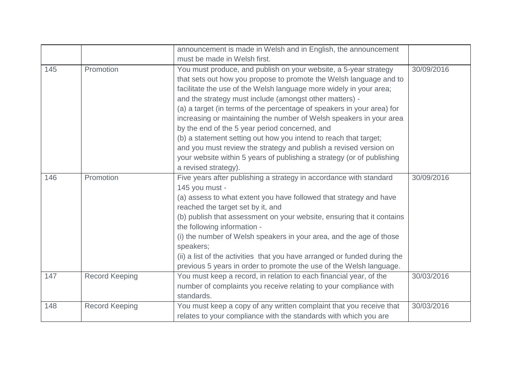|     |                       | announcement is made in Welsh and in English, the announcement                                                                                                                                                                                                                                                                                                                                                                                                                                                                                                                                                                                                                                                        |            |
|-----|-----------------------|-----------------------------------------------------------------------------------------------------------------------------------------------------------------------------------------------------------------------------------------------------------------------------------------------------------------------------------------------------------------------------------------------------------------------------------------------------------------------------------------------------------------------------------------------------------------------------------------------------------------------------------------------------------------------------------------------------------------------|------------|
|     |                       | must be made in Welsh first.                                                                                                                                                                                                                                                                                                                                                                                                                                                                                                                                                                                                                                                                                          |            |
| 145 | Promotion             | You must produce, and publish on your website, a 5-year strategy<br>that sets out how you propose to promote the Welsh language and to<br>facilitate the use of the Welsh language more widely in your area;<br>and the strategy must include (amongst other matters) -<br>(a) a target (in terms of the percentage of speakers in your area) for<br>increasing or maintaining the number of Welsh speakers in your area<br>by the end of the 5 year period concerned, and<br>(b) a statement setting out how you intend to reach that target;<br>and you must review the strategy and publish a revised version on<br>your website within 5 years of publishing a strategy (or of publishing<br>a revised strategy). | 30/09/2016 |
| 146 | Promotion             | Five years after publishing a strategy in accordance with standard<br>145 you must -<br>(a) assess to what extent you have followed that strategy and have<br>reached the target set by it, and<br>(b) publish that assessment on your website, ensuring that it contains<br>the following information -<br>(i) the number of Welsh speakers in your area, and the age of those<br>speakers;<br>(ii) a list of the activities that you have arranged or funded during the<br>previous 5 years in order to promote the use of the Welsh language.                                                                                                                                                                      | 30/09/2016 |
| 147 | <b>Record Keeping</b> | You must keep a record, in relation to each financial year, of the<br>number of complaints you receive relating to your compliance with<br>standards.                                                                                                                                                                                                                                                                                                                                                                                                                                                                                                                                                                 | 30/03/2016 |
| 148 | <b>Record Keeping</b> | You must keep a copy of any written complaint that you receive that<br>relates to your compliance with the standards with which you are                                                                                                                                                                                                                                                                                                                                                                                                                                                                                                                                                                               | 30/03/2016 |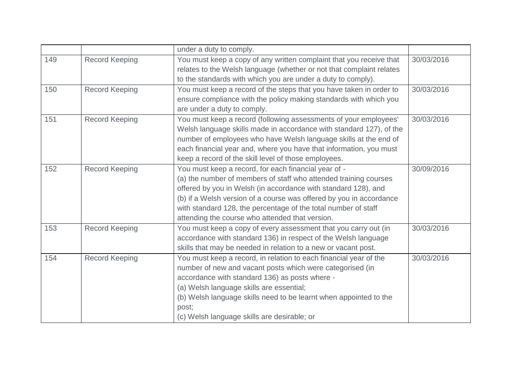|     |                       | under a duty to comply.                                              |            |
|-----|-----------------------|----------------------------------------------------------------------|------------|
| 149 | <b>Record Keeping</b> | You must keep a copy of any written complaint that you receive that  | 30/03/2016 |
|     |                       | relates to the Welsh language (whether or not that complaint relates |            |
|     |                       | to the standards with which you are under a duty to comply).         |            |
| 150 | <b>Record Keeping</b> | You must keep a record of the steps that you have taken in order to  | 30/03/2016 |
|     |                       | ensure compliance with the policy making standards with which you    |            |
|     |                       | are under a duty to comply.                                          |            |
| 151 | <b>Record Keeping</b> | You must keep a record (following assessments of your employees'     | 30/03/2016 |
|     |                       | Welsh language skills made in accordance with standard 127), of the  |            |
|     |                       | number of employees who have Welsh language skills at the end of     |            |
|     |                       | each financial year and, where you have that information, you must   |            |
|     |                       | keep a record of the skill level of those employees.                 |            |
| 152 | <b>Record Keeping</b> | You must keep a record, for each financial year of -                 | 30/09/2016 |
|     |                       | (a) the number of members of staff who attended training courses     |            |
|     |                       | offered by you in Welsh (in accordance with standard 128), and       |            |
|     |                       | (b) if a Welsh version of a course was offered by you in accordance  |            |
|     |                       | with standard 128, the percentage of the total number of staff       |            |
|     |                       | attending the course who attended that version.                      |            |
| 153 | <b>Record Keeping</b> | You must keep a copy of every assessment that you carry out (in      | 30/03/2016 |
|     |                       | accordance with standard 136) in respect of the Welsh language       |            |
|     |                       | skills that may be needed in relation to a new or vacant post.       |            |
| 154 | <b>Record Keeping</b> | You must keep a record, in relation to each financial year of the    | 30/03/2016 |
|     |                       | number of new and vacant posts which were categorised (in            |            |
|     |                       | accordance with standard 136) as posts where -                       |            |
|     |                       | (a) Welsh language skills are essential;                             |            |
|     |                       | (b) Welsh language skills need to be learnt when appointed to the    |            |
|     |                       | post;                                                                |            |
|     |                       | (c) Welsh language skills are desirable; or                          |            |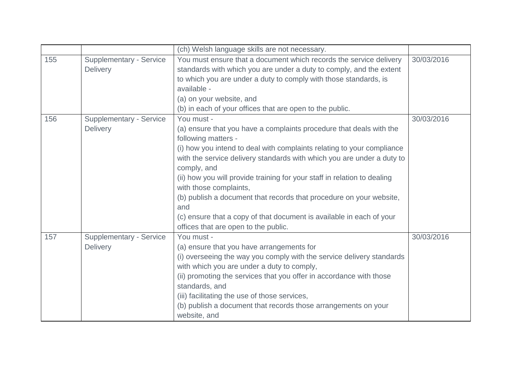|     |                                                   | (ch) Welsh language skills are not necessary.                                                                                                                                                                                                                                                                                                                                                                                                                                                                                                                                   |            |
|-----|---------------------------------------------------|---------------------------------------------------------------------------------------------------------------------------------------------------------------------------------------------------------------------------------------------------------------------------------------------------------------------------------------------------------------------------------------------------------------------------------------------------------------------------------------------------------------------------------------------------------------------------------|------------|
| 155 | Supplementary - Service<br>Delivery               | You must ensure that a document which records the service delivery<br>standards with which you are under a duty to comply, and the extent<br>to which you are under a duty to comply with those standards, is<br>available -<br>(a) on your website, and<br>(b) in each of your offices that are open to the public.                                                                                                                                                                                                                                                            | 30/03/2016 |
| 156 | <b>Supplementary - Service</b><br>Delivery        | You must -<br>(a) ensure that you have a complaints procedure that deals with the<br>following matters -<br>(i) how you intend to deal with complaints relating to your compliance<br>with the service delivery standards with which you are under a duty to<br>comply, and<br>(ii) how you will provide training for your staff in relation to dealing<br>with those complaints,<br>(b) publish a document that records that procedure on your website,<br>and<br>(c) ensure that a copy of that document is available in each of your<br>offices that are open to the public. | 30/03/2016 |
| 157 | <b>Supplementary - Service</b><br><b>Delivery</b> | You must -<br>(a) ensure that you have arrangements for<br>(i) overseeing the way you comply with the service delivery standards<br>with which you are under a duty to comply,<br>(ii) promoting the services that you offer in accordance with those<br>standards, and<br>(iii) facilitating the use of those services,<br>(b) publish a document that records those arrangements on your<br>website, and                                                                                                                                                                      | 30/03/2016 |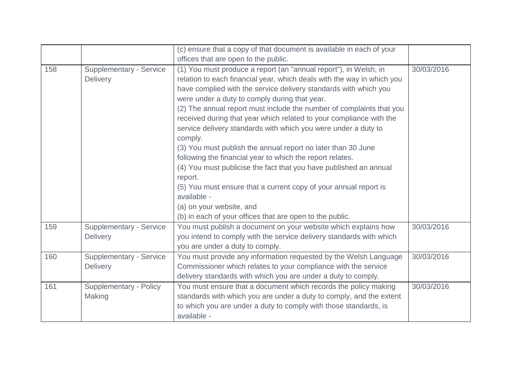|     |                                                   | (c) ensure that a copy of that document is available in each of your                                                                                                                                                                                                                                                                                                                                                                                                                                                                                                                                                                                                                                                                                                                                                                                                                |            |
|-----|---------------------------------------------------|-------------------------------------------------------------------------------------------------------------------------------------------------------------------------------------------------------------------------------------------------------------------------------------------------------------------------------------------------------------------------------------------------------------------------------------------------------------------------------------------------------------------------------------------------------------------------------------------------------------------------------------------------------------------------------------------------------------------------------------------------------------------------------------------------------------------------------------------------------------------------------------|------------|
|     |                                                   | offices that are open to the public.                                                                                                                                                                                                                                                                                                                                                                                                                                                                                                                                                                                                                                                                                                                                                                                                                                                |            |
| 158 | <b>Supplementary - Service</b><br><b>Delivery</b> | (1) You must produce a report (an "annual report"), in Welsh, in<br>relation to each financial year, which deals with the way in which you<br>have complied with the service delivery standards with which you<br>were under a duty to comply during that year.<br>(2) The annual report must include the number of complaints that you<br>received during that year which related to your compliance with the<br>service delivery standards with which you were under a duty to<br>comply.<br>(3) You must publish the annual report no later than 30 June<br>following the financial year to which the report relates.<br>(4) You must publicise the fact that you have published an annual<br>report.<br>(5) You must ensure that a current copy of your annual report is<br>available -<br>(a) on your website, and<br>(b) in each of your offices that are open to the public. | 30/03/2016 |
| 159 | <b>Supplementary - Service</b><br><b>Delivery</b> | You must publish a document on your website which explains how<br>you intend to comply with the service delivery standards with which<br>you are under a duty to comply.                                                                                                                                                                                                                                                                                                                                                                                                                                                                                                                                                                                                                                                                                                            | 30/03/2016 |
| 160 | <b>Supplementary - Service</b><br><b>Delivery</b> | You must provide any information requested by the Welsh Language<br>Commissioner which relates to your compliance with the service<br>delivery standards with which you are under a duty to comply.                                                                                                                                                                                                                                                                                                                                                                                                                                                                                                                                                                                                                                                                                 | 30/03/2016 |
| 161 | Supplementary - Policy<br>Making                  | You must ensure that a document which records the policy making<br>standards with which you are under a duty to comply, and the extent<br>to which you are under a duty to comply with those standards, is<br>available -                                                                                                                                                                                                                                                                                                                                                                                                                                                                                                                                                                                                                                                           | 30/03/2016 |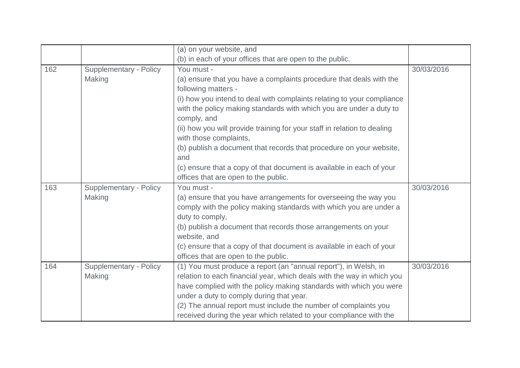|     |                               | (a) on your website, and                                                                                                                      |            |
|-----|-------------------------------|-----------------------------------------------------------------------------------------------------------------------------------------------|------------|
|     |                               | (b) in each of your offices that are open to the public.                                                                                      |            |
| 162 | <b>Supplementary - Policy</b> | You must -                                                                                                                                    | 30/03/2016 |
|     | <b>Making</b>                 | (a) ensure that you have a complaints procedure that deals with the<br>following matters -                                                    |            |
|     |                               | (i) how you intend to deal with complaints relating to your compliance<br>with the policy making standards with which you are under a duty to |            |
|     |                               | comply, and<br>(ii) how you will provide training for your staff in relation to dealing                                                       |            |
|     |                               | with those complaints,                                                                                                                        |            |
|     |                               | (b) publish a document that records that procedure on your website,<br>and                                                                    |            |
|     |                               | (c) ensure that a copy of that document is available in each of your                                                                          |            |
|     |                               | offices that are open to the public.                                                                                                          |            |
| 163 | <b>Supplementary - Policy</b> | You must -                                                                                                                                    | 30/03/2016 |
|     | Making                        | (a) ensure that you have arrangements for overseeing the way you                                                                              |            |
|     |                               | comply with the policy making standards with which you are under a                                                                            |            |
|     |                               | duty to comply,                                                                                                                               |            |
|     |                               | (b) publish a document that records those arrangements on your<br>website, and                                                                |            |
|     |                               | (c) ensure that a copy of that document is available in each of your<br>offices that are open to the public.                                  |            |
| 164 | Supplementary - Policy        | (1) You must produce a report (an "annual report"), in Welsh, in                                                                              | 30/03/2016 |
|     | <b>Making</b>                 | relation to each financial year, which deals with the way in which you                                                                        |            |
|     |                               | have complied with the policy making standards with which you were                                                                            |            |
|     |                               | under a duty to comply during that year.                                                                                                      |            |
|     |                               | (2) The annual report must include the number of complaints you                                                                               |            |
|     |                               | received during the year which related to your compliance with the                                                                            |            |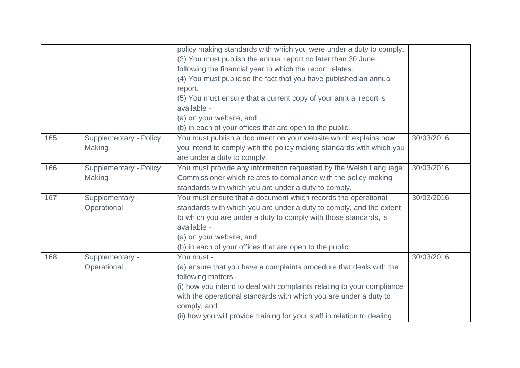|     |                               | policy making standards with which you were under a duty to comply.      |            |
|-----|-------------------------------|--------------------------------------------------------------------------|------------|
|     |                               | (3) You must publish the annual report no later than 30 June             |            |
|     |                               | following the financial year to which the report relates.                |            |
|     |                               | (4) You must publicise the fact that you have published an annual        |            |
|     |                               | report.                                                                  |            |
|     |                               | (5) You must ensure that a current copy of your annual report is         |            |
|     |                               | available -                                                              |            |
|     |                               | (a) on your website, and                                                 |            |
|     |                               | (b) in each of your offices that are open to the public.                 |            |
| 165 | <b>Supplementary - Policy</b> | You must publish a document on your website which explains how           | 30/03/2016 |
|     | Making                        | you intend to comply with the policy making standards with which you     |            |
|     |                               | are under a duty to comply.                                              |            |
| 166 | <b>Supplementary - Policy</b> | You must provide any information requested by the Welsh Language         | 30/03/2016 |
|     | Making                        | Commissioner which relates to compliance with the policy making          |            |
|     |                               | standards with which you are under a duty to comply.                     |            |
| 167 | Supplementary -               | You must ensure that a document which records the operational            | 30/03/2016 |
|     | Operational                   | standards with which you are under a duty to comply, and the extent      |            |
|     |                               | to which you are under a duty to comply with those standards, is         |            |
|     |                               | available -                                                              |            |
|     |                               | (a) on your website, and                                                 |            |
|     |                               | (b) in each of your offices that are open to the public.                 |            |
| 168 | Supplementary -               | You must -                                                               | 30/03/2016 |
|     | Operational                   | (a) ensure that you have a complaints procedure that deals with the      |            |
|     |                               | following matters -                                                      |            |
|     |                               | (i) how you intend to deal with complaints relating to your compliance   |            |
|     |                               | with the operational standards with which you are under a duty to        |            |
|     |                               | comply, and                                                              |            |
|     |                               | (ii) how you will provide training for your staff in relation to dealing |            |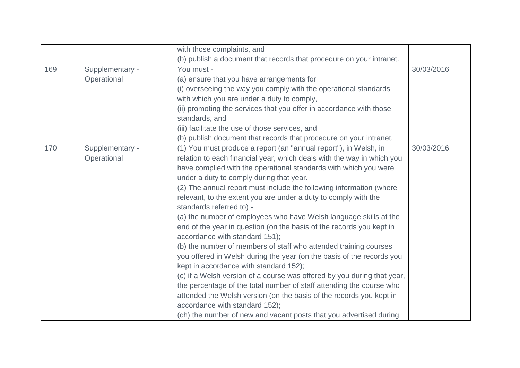|     |                 | with those complaints, and                                              |            |
|-----|-----------------|-------------------------------------------------------------------------|------------|
|     |                 | (b) publish a document that records that procedure on your intranet.    |            |
| 169 | Supplementary - | You must -                                                              | 30/03/2016 |
|     | Operational     | (a) ensure that you have arrangements for                               |            |
|     |                 | (i) overseeing the way you comply with the operational standards        |            |
|     |                 | with which you are under a duty to comply,                              |            |
|     |                 | (ii) promoting the services that you offer in accordance with those     |            |
|     |                 | standards, and                                                          |            |
|     |                 | (iii) facilitate the use of those services, and                         |            |
|     |                 | (b) publish document that records that procedure on your intranet.      |            |
| 170 | Supplementary - | (1) You must produce a report (an "annual report"), in Welsh, in        | 30/03/2016 |
|     | Operational     | relation to each financial year, which deals with the way in which you  |            |
|     |                 | have complied with the operational standards with which you were        |            |
|     |                 | under a duty to comply during that year.                                |            |
|     |                 | (2) The annual report must include the following information (where     |            |
|     |                 | relevant, to the extent you are under a duty to comply with the         |            |
|     |                 | standards referred to) -                                                |            |
|     |                 | (a) the number of employees who have Welsh language skills at the       |            |
|     |                 | end of the year in question (on the basis of the records you kept in    |            |
|     |                 | accordance with standard 151);                                          |            |
|     |                 | (b) the number of members of staff who attended training courses        |            |
|     |                 | you offered in Welsh during the year (on the basis of the records you   |            |
|     |                 | kept in accordance with standard 152);                                  |            |
|     |                 | (c) if a Welsh version of a course was offered by you during that year, |            |
|     |                 | the percentage of the total number of staff attending the course who    |            |
|     |                 | attended the Welsh version (on the basis of the records you kept in     |            |
|     |                 | accordance with standard 152);                                          |            |
|     |                 | (ch) the number of new and vacant posts that you advertised during      |            |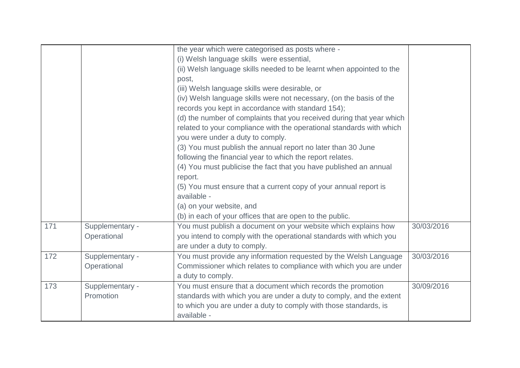|     |                 | the year which were categorised as posts where -<br>(i) Welsh language skills were essential,<br>(ii) Welsh language skills needed to be learnt when appointed to the<br>post, |            |
|-----|-----------------|--------------------------------------------------------------------------------------------------------------------------------------------------------------------------------|------------|
|     |                 | (iii) Welsh language skills were desirable, or<br>(iv) Welsh language skills were not necessary, (on the basis of the                                                          |            |
|     |                 | records you kept in accordance with standard 154);                                                                                                                             |            |
|     |                 | (d) the number of complaints that you received during that year which                                                                                                          |            |
|     |                 | related to your compliance with the operational standards with which                                                                                                           |            |
|     |                 | you were under a duty to comply.                                                                                                                                               |            |
|     |                 | (3) You must publish the annual report no later than 30 June                                                                                                                   |            |
|     |                 | following the financial year to which the report relates.                                                                                                                      |            |
|     |                 | (4) You must publicise the fact that you have published an annual                                                                                                              |            |
|     |                 | report.                                                                                                                                                                        |            |
|     |                 | (5) You must ensure that a current copy of your annual report is                                                                                                               |            |
|     |                 | available -                                                                                                                                                                    |            |
|     |                 | (a) on your website, and                                                                                                                                                       |            |
|     |                 | (b) in each of your offices that are open to the public.                                                                                                                       |            |
| 171 | Supplementary - | You must publish a document on your website which explains how                                                                                                                 | 30/03/2016 |
|     | Operational     | you intend to comply with the operational standards with which you                                                                                                             |            |
|     |                 | are under a duty to comply.                                                                                                                                                    |            |
| 172 | Supplementary - | You must provide any information requested by the Welsh Language                                                                                                               | 30/03/2016 |
|     | Operational     | Commissioner which relates to compliance with which you are under                                                                                                              |            |
|     |                 | a duty to comply.                                                                                                                                                              |            |
| 173 | Supplementary - | You must ensure that a document which records the promotion                                                                                                                    | 30/09/2016 |
|     | Promotion       | standards with which you are under a duty to comply, and the extent                                                                                                            |            |
|     |                 | to which you are under a duty to comply with those standards, is                                                                                                               |            |
|     |                 | available -                                                                                                                                                                    |            |